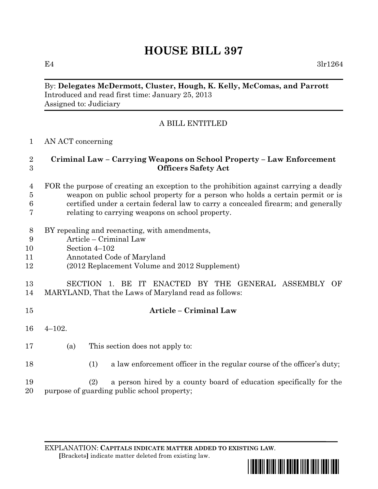# **HOUSE BILL 397**

E4  $3\ln 1264$ 

### By: **Delegates McDermott, Cluster, Hough, K. Kelly, McComas, and Parrott** Introduced and read first time: January 25, 2013 Assigned to: Judiciary

## A BILL ENTITLED

#### AN ACT concerning

### **Criminal Law – Carrying Weapons on School Property – Law Enforcement Officers Safety Act**

#### FOR the purpose of creating an exception to the prohibition against carrying a deadly weapon on public school property for a person who holds a certain permit or is certified under a certain federal law to carry a concealed firearm; and generally relating to carrying weapons on school property.

- BY repealing and reenacting, with amendments,
- Article Criminal Law
- Section 4–102
- Annotated Code of Maryland
- (2012 Replacement Volume and 2012 Supplement)

### SECTION 1. BE IT ENACTED BY THE GENERAL ASSEMBLY OF MARYLAND, That the Laws of Maryland read as follows:

- **Article – Criminal Law**
- 4–102.
- (a) This section does not apply to:
- (1) a law enforcement officer in the regular course of the officer's duty;

 (2) a person hired by a county board of education specifically for the purpose of guarding public school property;

EXPLANATION: **CAPITALS INDICATE MATTER ADDED TO EXISTING LAW**.  **[**Brackets**]** indicate matter deleted from existing law.